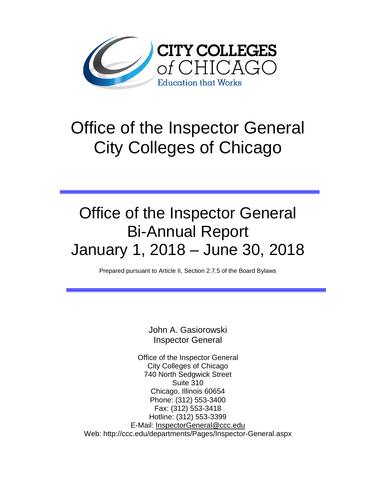

# Office of the Inspector General City Colleges of Chicago

# Office of the Inspector General Bi-Annual Report January 1, 2018 – June 30, 2018

Prepared pursuant to Article II, Section 2.7.5 of the Board Bylaws

John A. Gasiorowski Inspector General

Office of the Inspector General City Colleges of Chicago 740 North Sedgwick Street Suite 310 Chicago, Illinois 60654 Phone: (312) 553-3400 Fax: (312) 553-3418 Hotline: (312) 553-3399 E-Mail: [InspectorGeneral@ccc.edu](mailto:InspectorGeneral@ccc.edu) Web: http://ccc.edu/departments/Pages/Inspector-General.aspx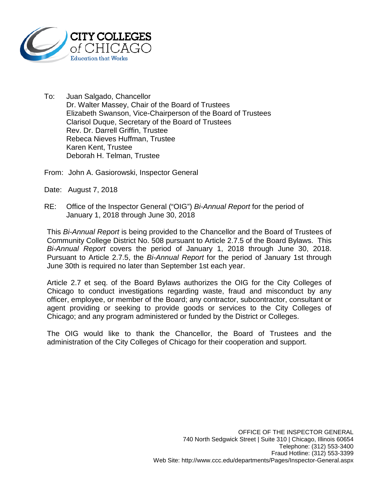

- To: Juan Salgado, Chancellor Dr. Walter Massey, Chair of the Board of Trustees Elizabeth Swanson, Vice-Chairperson of the Board of Trustees Clarisol Duque, Secretary of the Board of Trustees Rev. Dr. Darrell Griffin, Trustee Rebeca Nieves Huffman, Trustee Karen Kent, Trustee Deborah H. Telman, Trustee
- From: John A. Gasiorowski, Inspector General
- Date: August 7, 2018
- RE: Office of the Inspector General ("OIG") *Bi-Annual Report* for the period of January 1, 2018 through June 30, 2018

This *Bi-Annual Report* is being provided to the Chancellor and the Board of Trustees of Community College District No. 508 pursuant to Article 2.7.5 of the Board Bylaws. This *Bi-Annual Report* covers the period of January 1, 2018 through June 30, 2018. Pursuant to Article 2.7.5, the *Bi-Annual Report* for the period of January 1st through June 30th is required no later than September 1st each year.

Article 2.7 et seq. of the Board Bylaws authorizes the OIG for the City Colleges of Chicago to conduct investigations regarding waste, fraud and misconduct by any officer, employee, or member of the Board; any contractor, subcontractor, consultant or agent providing or seeking to provide goods or services to the City Colleges of Chicago; and any program administered or funded by the District or Colleges.

The OIG would like to thank the Chancellor, the Board of Trustees and the administration of the City Colleges of Chicago for their cooperation and support.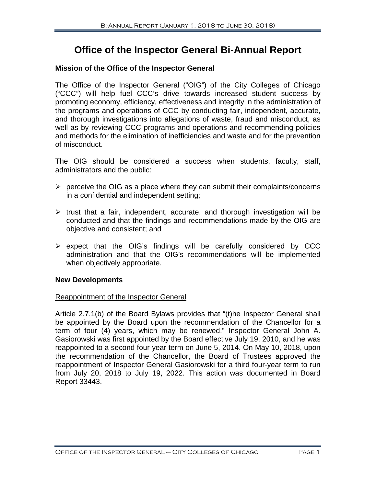# **Office of the Inspector General Bi-Annual Report**

# **Mission of the Office of the Inspector General**

The Office of the Inspector General ("OIG") of the City Colleges of Chicago ("CCC") will help fuel CCC's drive towards increased student success by promoting economy, efficiency, effectiveness and integrity in the administration of the programs and operations of CCC by conducting fair, independent, accurate, and thorough investigations into allegations of waste, fraud and misconduct, as well as by reviewing CCC programs and operations and recommending policies and methods for the elimination of inefficiencies and waste and for the prevention of misconduct.

The OIG should be considered a success when students, faculty, staff, administrators and the public:

- $\triangleright$  perceive the OIG as a place where they can submit their complaints/concerns in a confidential and independent setting;
- $\triangleright$  trust that a fair, independent, accurate, and thorough investigation will be conducted and that the findings and recommendations made by the OIG are objective and consistent; and
- $\triangleright$  expect that the OIG's findings will be carefully considered by CCC administration and that the OIG's recommendations will be implemented when objectively appropriate.

# **New Developments**

# Reappointment of the Inspector General

Article 2.7.1(b) of the Board Bylaws provides that "(t)he Inspector General shall be appointed by the Board upon the recommendation of the Chancellor for a term of four (4) years, which may be renewed." Inspector General John A. Gasiorowski was first appointed by the Board effective July 19, 2010, and he was reappointed to a second four-year term on June 5, 2014. On May 10, 2018, upon the recommendation of the Chancellor, the Board of Trustees approved the reappointment of Inspector General Gasiorowski for a third four-year term to run from July 20, 2018 to July 19, 2022. This action was documented in Board Report 33443.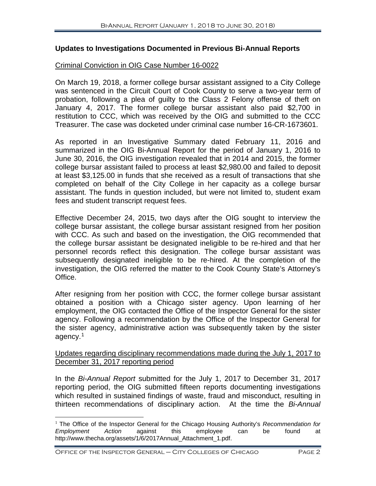# **Updates to Investigations Documented in Previous Bi-Annual Reports**

#### Criminal Conviction in OIG Case Number 16-0022

On March 19, 2018, a former college bursar assistant assigned to a City College was sentenced in the Circuit Court of Cook County to serve a two-year term of probation, following a plea of guilty to the Class 2 Felony offense of theft on January 4, 2017. The former college bursar assistant also paid \$2,700 in restitution to CCC, which was received by the OIG and submitted to the CCC Treasurer. The case was docketed under criminal case number 16-CR-1673601.

As reported in an Investigative Summary dated February 11, 2016 and summarized in the OIG Bi-Annual Report for the period of January 1, 2016 to June 30, 2016, the OIG investigation revealed that in 2014 and 2015, the former college bursar assistant failed to process at least \$2,980.00 and failed to deposit at least \$3,125.00 in funds that she received as a result of transactions that she completed on behalf of the City College in her capacity as a college bursar assistant. The funds in question included, but were not limited to, student exam fees and student transcript request fees.

Effective December 24, 2015, two days after the OIG sought to interview the college bursar assistant, the college bursar assistant resigned from her position with CCC. As such and based on the investigation, the OIG recommended that the college bursar assistant be designated ineligible to be re-hired and that her personnel records reflect this designation. The college bursar assistant was subsequently designated ineligible to be re-hired. At the completion of the investigation, the OIG referred the matter to the Cook County State's Attorney's Office.

After resigning from her position with CCC, the former college bursar assistant obtained a position with a Chicago sister agency. Upon learning of her employment, the OIG contacted the Office of the Inspector General for the sister agency. Following a recommendation by the Office of the Inspector General for the sister agency, administrative action was subsequently taken by the sister agency.[1](#page-3-0)

# Updates regarding disciplinary recommendations made during the July 1, 2017 to December 31, 2017 reporting period

In the *Bi-Annual Report* submitted for the July 1, 2017 to December 31, 2017 reporting period, the OIG submitted fifteen reports documenting investigations which resulted in sustained findings of waste, fraud and misconduct, resulting in thirteen recommendations of disciplinary action. At the time the *Bi-Annual*

<span id="page-3-0"></span> <sup>1</sup> The Office of the Inspector General for the Chicago Housing Authority's *Recommendation for Employment Action* against this employee can be found at http://www.thecha.org/assets/1/6/2017Annual\_Attachment\_1.pdf.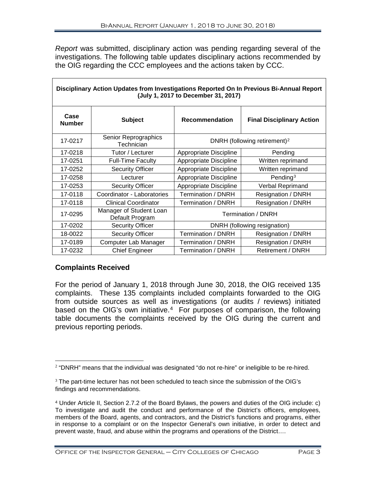*Report* was submitted, disciplinary action was pending regarding several of the investigations. The following table updates disciplinary actions recommended by the OIG regarding the CCC employees and the actions taken by CCC.

| Disciplinary Action Updates from Investigations Reported On In Previous Bi-Annual Report<br>(July 1, 2017 to December 31, 2017) |                                            |                                          |                                  |  |  |
|---------------------------------------------------------------------------------------------------------------------------------|--------------------------------------------|------------------------------------------|----------------------------------|--|--|
| Case<br><b>Number</b>                                                                                                           | <b>Subject</b>                             | <b>Recommendation</b>                    | <b>Final Disciplinary Action</b> |  |  |
| 17-0217                                                                                                                         | Senior Reprographics<br>Technician         | DNRH (following retirement) <sup>2</sup> |                                  |  |  |
| 17-0218                                                                                                                         | Tutor / Lecturer                           | Appropriate Discipline                   | Pending                          |  |  |
| 17-0251                                                                                                                         | <b>Full-Time Faculty</b>                   | Appropriate Discipline                   | Written reprimand                |  |  |
| 17-0252                                                                                                                         | <b>Security Officer</b>                    | Appropriate Discipline                   | Written reprimand                |  |  |
| 17-0258                                                                                                                         | Lecturer                                   | Appropriate Discipline                   | Pending <sup>3</sup>             |  |  |
| 17-0253                                                                                                                         | <b>Security Officer</b>                    | Appropriate Discipline                   | Verbal Reprimand                 |  |  |
| 17-0118                                                                                                                         | Coordinator - Laboratories                 | Termination / DNRH                       | Resignation / DNRH               |  |  |
| 17-0118                                                                                                                         | <b>Clinical Coordinator</b>                | Termination / DNRH                       | Resignation / DNRH               |  |  |
| 17-0295                                                                                                                         | Manager of Student Loan<br>Default Program | Termination / DNRH                       |                                  |  |  |
| 17-0202                                                                                                                         | <b>Security Officer</b>                    | DNRH (following resignation)             |                                  |  |  |
| 18-0022                                                                                                                         | <b>Security Officer</b>                    | Termination / DNRH                       | Resignation / DNRH               |  |  |
| 17-0189                                                                                                                         | Computer Lab Manager                       | Termination / DNRH                       | Resignation / DNRH               |  |  |
| 17-0232                                                                                                                         | <b>Chief Engineer</b>                      | Termination / DNRH                       | Retirement / DNRH                |  |  |

# **Complaints Received**

For the period of January 1, 2018 through June 30, 2018, the OIG received 135 complaints. These 135 complaints included complaints forwarded to the OIG from outside sources as well as investigations (or audits / reviews) initiated based on the OIG's own initiative.<sup>[4](#page-4-2)</sup> For purposes of comparison, the following table documents the complaints received by the OIG during the current and previous reporting periods.

<span id="page-4-0"></span> $2$  "DNRH" means that the individual was designated "do not re-hire" or ineligible to be re-hired.

<span id="page-4-1"></span><sup>&</sup>lt;sup>3</sup> The part-time lecturer has not been scheduled to teach since the submission of the OIG's findings and recommendations.

<span id="page-4-2"></span><sup>4</sup> Under Article II, Section 2.7.2 of the Board Bylaws, the powers and duties of the OIG include: c) To investigate and audit the conduct and performance of the District's officers, employees, members of the Board, agents, and contractors, and the District's functions and programs, either in response to a complaint or on the Inspector General's own initiative, in order to detect and prevent waste, fraud, and abuse within the programs and operations of the District….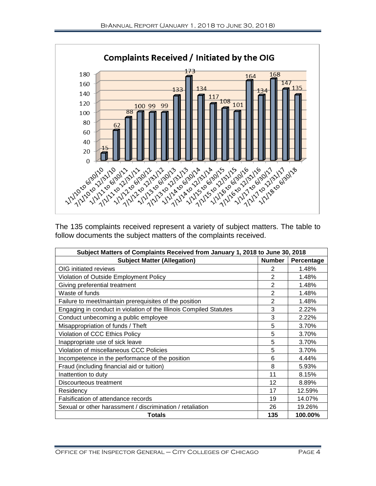

The 135 complaints received represent a variety of subject matters. The table to follow documents the subject matters of the complaints received.

| Subject Matters of Complaints Received from January 1, 2018 to June 30, 2018 |                |            |  |
|------------------------------------------------------------------------------|----------------|------------|--|
| <b>Subject Matter (Allegation)</b>                                           | <b>Number</b>  | Percentage |  |
| OIG initiated reviews                                                        | $\overline{2}$ | 1.48%      |  |
| Violation of Outside Employment Policy                                       | 2              | 1.48%      |  |
| Giving preferential treatment                                                | $\overline{2}$ | 1.48%      |  |
| Waste of funds                                                               | $\overline{2}$ | 1.48%      |  |
| Failure to meet/maintain prerequisites of the position                       | $\overline{2}$ | 1.48%      |  |
| Engaging in conduct in violation of the Illinois Compiled Statutes           | 3              | 2.22%      |  |
| Conduct unbecoming a public employee                                         | 3              | 2.22%      |  |
| Misappropriation of funds / Theft                                            | 5              | 3.70%      |  |
| Violation of CCC Ethics Policy                                               | 5              | 3.70%      |  |
| Inappropriate use of sick leave                                              | 5              | 3.70%      |  |
| Violation of miscellaneous CCC Policies                                      | 5              | 3.70%      |  |
| Incompetence in the performance of the position                              | 6              | 4.44%      |  |
| Fraud (including financial aid or tuition)                                   | 8              | 5.93%      |  |
| Inattention to duty                                                          | 11             | 8.15%      |  |
| Discourteous treatment                                                       | 12             | 8.89%      |  |
| Residency                                                                    | 17             | 12.59%     |  |
| Falsification of attendance records                                          | 19             | 14.07%     |  |
| Sexual or other harassment / discrimination / retaliation                    | 26             | 19.26%     |  |
| <b>Totals</b>                                                                | 135            | 100.00%    |  |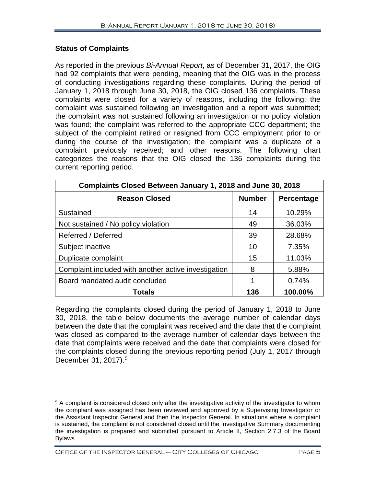# **Status of Complaints**

As reported in the previous *Bi-Annual Report*, as of December 31, 2017, the OIG had 92 complaints that were pending, meaning that the OIG was in the process of conducting investigations regarding these complaints. During the period of January 1, 2018 through June 30, 2018, the OIG closed 136 complaints. These complaints were closed for a variety of reasons, including the following: the complaint was sustained following an investigation and a report was submitted; the complaint was not sustained following an investigation or no policy violation was found; the complaint was referred to the appropriate CCC department; the subject of the complaint retired or resigned from CCC employment prior to or during the course of the investigation; the complaint was a duplicate of a complaint previously received; and other reasons. The following chart categorizes the reasons that the OIG closed the 136 complaints during the current reporting period.

| Complaints Closed Between January 1, 2018 and June 30, 2018 |               |            |  |  |
|-------------------------------------------------------------|---------------|------------|--|--|
| <b>Reason Closed</b>                                        | <b>Number</b> | Percentage |  |  |
| Sustained                                                   | 14            | 10.29%     |  |  |
| Not sustained / No policy violation                         | 49            | 36.03%     |  |  |
| Referred / Deferred                                         | 39            | 28.68%     |  |  |
| Subject inactive                                            | 10            | 7.35%      |  |  |
| Duplicate complaint                                         | 15            | 11.03%     |  |  |
| Complaint included with another active investigation        | 8             | 5.88%      |  |  |
| Board mandated audit concluded                              | 1             | 0.74%      |  |  |
| Totals                                                      | 136           | 100.00%    |  |  |

Regarding the complaints closed during the period of January 1, 2018 to June 30, 2018, the table below documents the average number of calendar days between the date that the complaint was received and the date that the complaint was closed as compared to the average number of calendar days between the date that complaints were received and the date that complaints were closed for the complaints closed during the previous reporting period (July 1, 2017 through December 31, 2017). [5](#page-6-0)

Office of the Inspector General – City Colleges of Chicago Page 5

<span id="page-6-0"></span> $\overline{a}$  $5$  A complaint is considered closed only after the investigative activity of the investigator to whom the complaint was assigned has been reviewed and approved by a Supervising Investigator or the Assistant Inspector General and then the Inspector General. In situations where a complaint is sustained, the complaint is not considered closed until the Investigative Summary documenting the investigation is prepared and submitted pursuant to Article II, Section 2.7.3 of the Board Bylaws.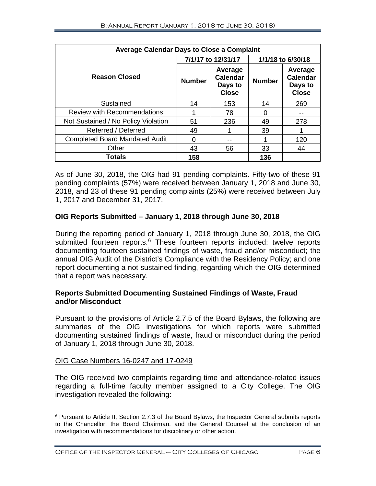| <b>Average Calendar Days to Close a Complaint</b> |                    |                                                       |                   |                                                       |  |
|---------------------------------------------------|--------------------|-------------------------------------------------------|-------------------|-------------------------------------------------------|--|
|                                                   | 7/1/17 to 12/31/17 |                                                       | 1/1/18 to 6/30/18 |                                                       |  |
| <b>Reason Closed</b>                              | <b>Number</b>      | Average<br><b>Calendar</b><br>Days to<br><b>Close</b> | <b>Number</b>     | Average<br><b>Calendar</b><br>Days to<br><b>Close</b> |  |
| Sustained                                         | 14                 | 153                                                   | 14                | 269                                                   |  |
| <b>Review with Recommendations</b>                |                    | 78                                                    |                   |                                                       |  |
| Not Sustained / No Policy Violation               | 51                 | 236                                                   | 49                | 278                                                   |  |
| Referred / Deferred                               | 49                 |                                                       | 39                |                                                       |  |
| <b>Completed Board Mandated Audit</b>             | 0                  | --                                                    |                   | 120                                                   |  |
| Other                                             | 43                 | 56                                                    | 33                | 44                                                    |  |
| Totals                                            | 158                |                                                       | 136               |                                                       |  |

As of June 30, 2018, the OIG had 91 pending complaints. Fifty-two of these 91 pending complaints (57%) were received between January 1, 2018 and June 30, 2018, and 23 of these 91 pending complaints (25%) were received between July 1, 2017 and December 31, 2017.

# **OIG Reports Submitted – January 1, 2018 through June 30, 2018**

During the reporting period of January 1, 2018 through June 30, 2018, the OIG submitted fourteen reports.<sup>[6](#page-7-0)</sup> These fourteen reports included: twelve reports documenting fourteen sustained findings of waste, fraud and/or misconduct; the annual OIG Audit of the District's Compliance with the Residency Policy; and one report documenting a not sustained finding, regarding which the OIG determined that a report was necessary.

# **Reports Submitted Documenting Sustained Findings of Waste, Fraud and/or Misconduct**

Pursuant to the provisions of Article 2.7.5 of the Board Bylaws, the following are summaries of the OIG investigations for which reports were submitted documenting sustained findings of waste, fraud or misconduct during the period of January 1, 2018 through June 30, 2018.

# OIG Case Numbers 16-0247 and 17-0249

The OIG received two complaints regarding time and attendance-related issues regarding a full-time faculty member assigned to a City College. The OIG investigation revealed the following:

<span id="page-7-0"></span> <sup>6</sup> Pursuant to Article II, Section 2.7.3 of the Board Bylaws, the Inspector General submits reports to the Chancellor, the Board Chairman, and the General Counsel at the conclusion of an investigation with recommendations for disciplinary or other action.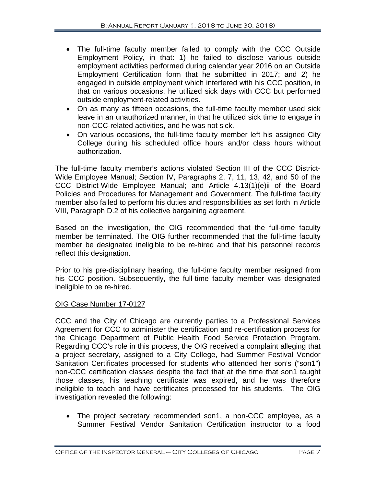- The full-time faculty member failed to comply with the CCC Outside Employment Policy, in that: 1) he failed to disclose various outside employment activities performed during calendar year 2016 on an Outside Employment Certification form that he submitted in 2017; and 2) he engaged in outside employment which interfered with his CCC position, in that on various occasions, he utilized sick days with CCC but performed outside employment-related activities.
- On as many as fifteen occasions, the full-time faculty member used sick leave in an unauthorized manner, in that he utilized sick time to engage in non-CCC-related activities, and he was not sick.
- On various occasions, the full-time faculty member left his assigned City College during his scheduled office hours and/or class hours without authorization.

The full-time faculty member's actions violated Section III of the CCC District-Wide Employee Manual; Section IV, Paragraphs 2, 7, 11, 13, 42, and 50 of the CCC District-Wide Employee Manual; and Article 4.13(1)(e)ii of the Board Policies and Procedures for Management and Government. The full-time faculty member also failed to perform his duties and responsibilities as set forth in Article VIII, Paragraph D.2 of his collective bargaining agreement.

Based on the investigation, the OIG recommended that the full-time faculty member be terminated. The OIG further recommended that the full-time faculty member be designated ineligible to be re-hired and that his personnel records reflect this designation.

Prior to his pre-disciplinary hearing, the full-time faculty member resigned from his CCC position. Subsequently, the full-time faculty member was designated ineligible to be re-hired.

# OIG Case Number 17-0127

CCC and the City of Chicago are currently parties to a Professional Services Agreement for CCC to administer the certification and re-certification process for the Chicago Department of Public Health Food Service Protection Program. Regarding CCC's role in this process, the OIG received a complaint alleging that a project secretary, assigned to a City College, had Summer Festival Vendor Sanitation Certificates processed for students who attended her son's ("son1") non-CCC certification classes despite the fact that at the time that son1 taught those classes, his teaching certificate was expired, and he was therefore ineligible to teach and have certificates processed for his students. The OIG investigation revealed the following:

• The project secretary recommended son1, a non-CCC employee, as a Summer Festival Vendor Sanitation Certification instructor to a food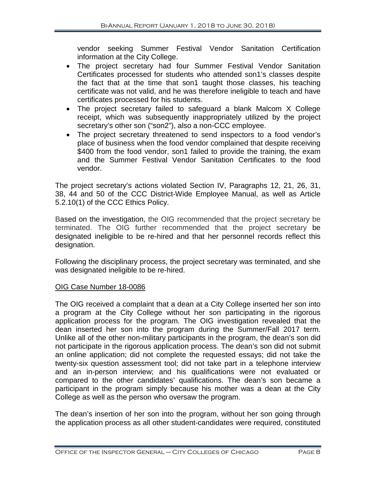vendor seeking Summer Festival Vendor Sanitation Certification information at the City College.

- The project secretary had four Summer Festival Vendor Sanitation Certificates processed for students who attended son1's classes despite the fact that at the time that son1 taught those classes, his teaching certificate was not valid, and he was therefore ineligible to teach and have certificates processed for his students.
- The project secretary failed to safeguard a blank Malcom X College receipt, which was subsequently inappropriately utilized by the project secretary's other son ("son2"), also a non-CCC employee.
- The project secretary threatened to send inspectors to a food vendor's place of business when the food vendor complained that despite receiving \$400 from the food vendor, son1 failed to provide the training, the exam and the Summer Festival Vendor Sanitation Certificates to the food vendor.

The project secretary's actions violated Section IV, Paragraphs 12, 21, 26, 31, 38, 44 and 50 of the CCC District-Wide Employee Manual, as well as Article 5.2.10(1) of the CCC Ethics Policy.

Based on the investigation, the OIG recommended that the project secretary be terminated. The OIG further recommended that the project secretary be designated ineligible to be re-hired and that her personnel records reflect this designation.

Following the disciplinary process, the project secretary was terminated, and she was designated ineligible to be re-hired.

# OIG Case Number 18-0086

The OIG received a complaint that a dean at a City College inserted her son into a program at the City College without her son participating in the rigorous application process for the program. The OIG investigation revealed that the dean inserted her son into the program during the Summer/Fall 2017 term. Unlike all of the other non-military participants in the program, the dean's son did not participate in the rigorous application process. The dean's son did not submit an online application; did not complete the requested essays; did not take the twenty-six question assessment tool; did not take part in a telephone interview and an in-person interview; and his qualifications were not evaluated or compared to the other candidates' qualifications. The dean's son became a participant in the program simply because his mother was a dean at the City College as well as the person who oversaw the program.

The dean's insertion of her son into the program, without her son going through the application process as all other student-candidates were required, constituted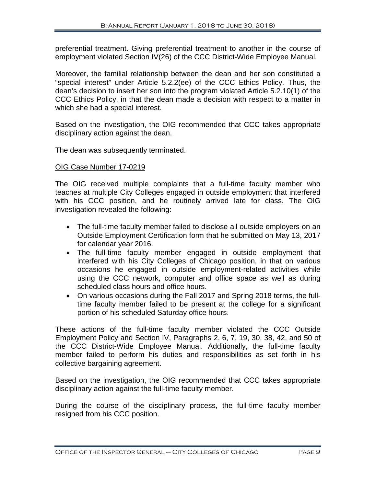preferential treatment. Giving preferential treatment to another in the course of employment violated Section IV(26) of the CCC District-Wide Employee Manual.

Moreover, the familial relationship between the dean and her son constituted a "special interest" under Article 5.2.2(ee) of the CCC Ethics Policy. Thus, the dean's decision to insert her son into the program violated Article 5.2.10(1) of the CCC Ethics Policy, in that the dean made a decision with respect to a matter in which she had a special interest.

Based on the investigation, the OIG recommended that CCC takes appropriate disciplinary action against the dean.

The dean was subsequently terminated.

# OIG Case Number 17-0219

The OIG received multiple complaints that a full-time faculty member who teaches at multiple City Colleges engaged in outside employment that interfered with his CCC position, and he routinely arrived late for class. The OIG investigation revealed the following:

- The full-time faculty member failed to disclose all outside employers on an Outside Employment Certification form that he submitted on May 13, 2017 for calendar year 2016.
- The full-time faculty member engaged in outside employment that interfered with his City Colleges of Chicago position, in that on various occasions he engaged in outside employment-related activities while using the CCC network, computer and office space as well as during scheduled class hours and office hours.
- On various occasions during the Fall 2017 and Spring 2018 terms, the fulltime faculty member failed to be present at the college for a significant portion of his scheduled Saturday office hours.

These actions of the full-time faculty member violated the CCC Outside Employment Policy and Section IV, Paragraphs 2, 6, 7, 19, 30, 38, 42, and 50 of the CCC District-Wide Employee Manual. Additionally, the full-time faculty member failed to perform his duties and responsibilities as set forth in his collective bargaining agreement.

Based on the investigation, the OIG recommended that CCC takes appropriate disciplinary action against the full-time faculty member.

During the course of the disciplinary process, the full-time faculty member resigned from his CCC position.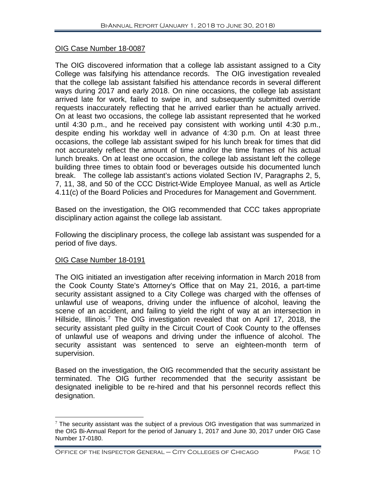# OIG Case Number 18-0087

The OIG discovered information that a college lab assistant assigned to a City College was falsifying his attendance records. The OIG investigation revealed that the college lab assistant falsified his attendance records in several different ways during 2017 and early 2018. On nine occasions, the college lab assistant arrived late for work, failed to swipe in, and subsequently submitted override requests inaccurately reflecting that he arrived earlier than he actually arrived. On at least two occasions, the college lab assistant represented that he worked until 4:30 p.m., and he received pay consistent with working until 4:30 p.m., despite ending his workday well in advance of 4:30 p.m. On at least three occasions, the college lab assistant swiped for his lunch break for times that did not accurately reflect the amount of time and/or the time frames of his actual lunch breaks. On at least one occasion, the college lab assistant left the college building three times to obtain food or beverages outside his documented lunch break. The college lab assistant's actions violated Section IV, Paragraphs 2, 5, 7, 11, 38, and 50 of the CCC District-Wide Employee Manual, as well as Article 4.11(c) of the Board Policies and Procedures for Management and Government.

Based on the investigation, the OIG recommended that CCC takes appropriate disciplinary action against the college lab assistant.

Following the disciplinary process, the college lab assistant was suspended for a period of five days.

# OIG Case Number 18-0191

The OIG initiated an investigation after receiving information in March 2018 from the Cook County State's Attorney's Office that on May 21, 2016, a part-time security assistant assigned to a City College was charged with the offenses of unlawful use of weapons, driving under the influence of alcohol, leaving the scene of an accident, and failing to yield the right of way at an intersection in Hillside, Illinois.<sup>[7](#page-11-0)</sup> The OIG investigation revealed that on April 17, 2018, the security assistant pled quilty in the Circuit Court of Cook County to the offenses of unlawful use of weapons and driving under the influence of alcohol. The security assistant was sentenced to serve an eighteen-month term of supervision.

Based on the investigation, the OIG recommended that the security assistant be terminated. The OIG further recommended that the security assistant be designated ineligible to be re-hired and that his personnel records reflect this designation.

<span id="page-11-0"></span> $7$  The security assistant was the subject of a previous OIG investigation that was summarized in the OIG Bi-Annual Report for the period of January 1, 2017 and June 30, 2017 under OIG Case Number 17-0180.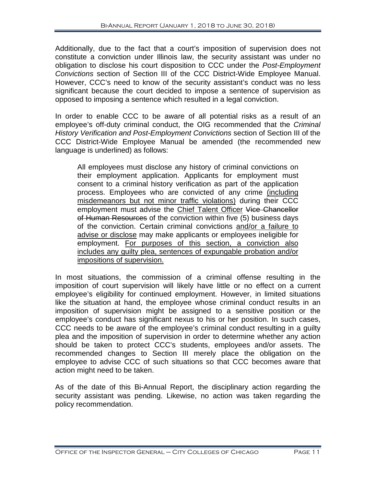Additionally, due to the fact that a court's imposition of supervision does not constitute a conviction under Illinois law, the security assistant was under no obligation to disclose his court disposition to CCC under the *Post-Employment Convictions* section of Section III of the CCC District-Wide Employee Manual. However, CCC's need to know of the security assistant's conduct was no less significant because the court decided to impose a sentence of supervision as opposed to imposing a sentence which resulted in a legal conviction.

In order to enable CCC to be aware of all potential risks as a result of an employee's off-duty criminal conduct, the OIG recommended that the *Criminal History Verification and Post-Employment Convictions* section of Section III of the CCC District-Wide Employee Manual be amended (the recommended new language is underlined) as follows:

All employees must disclose any history of criminal convictions on their employment application. Applicants for employment must consent to a criminal history verification as part of the application process. Employees who are convicted of any crime (including misdemeanors but not minor traffic violations) during their CCC employment must advise the Chief Talent Officer Vice Chancellor of Human Resources of the conviction within five (5) business days of the conviction. Certain criminal convictions and/or a failure to advise or disclose may make applicants or employees ineligible for employment. For purposes of this section, a conviction also includes any guilty plea, sentences of expungable probation and/or impositions of supervision.

In most situations, the commission of a criminal offense resulting in the imposition of court supervision will likely have little or no effect on a current employee's eligibility for continued employment. However, in limited situations like the situation at hand, the employee whose criminal conduct results in an imposition of supervision might be assigned to a sensitive position or the employee's conduct has significant nexus to his or her position. In such cases, CCC needs to be aware of the employee's criminal conduct resulting in a guilty plea and the imposition of supervision in order to determine whether any action should be taken to protect CCC's students, employees and/or assets. The recommended changes to Section III merely place the obligation on the employee to advise CCC of such situations so that CCC becomes aware that action might need to be taken.

As of the date of this Bi-Annual Report, the disciplinary action regarding the security assistant was pending. Likewise, no action was taken regarding the policy recommendation.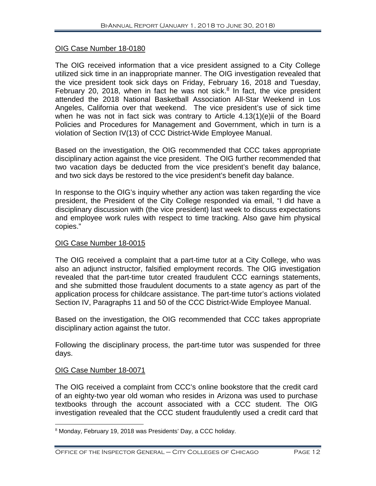# OIG Case Number 18-0180

The OIG received information that a vice president assigned to a City College utilized sick time in an inappropriate manner. The OIG investigation revealed that the vice president took sick days on Friday, February 16, 2018 and Tuesday, February 20, 201[8](#page-13-0), when in fact he was not sick. $8$  In fact, the vice president attended the 2018 National Basketball Association All-Star Weekend in Los Angeles, California over that weekend. The vice president's use of sick time when he was not in fact sick was contrary to Article 4.13(1)(e)ii of the Board Policies and Procedures for Management and Government, which in turn is a violation of Section IV(13) of CCC District-Wide Employee Manual.

Based on the investigation, the OIG recommended that CCC takes appropriate disciplinary action against the vice president. The OIG further recommended that two vacation days be deducted from the vice president's benefit day balance, and two sick days be restored to the vice president's benefit day balance.

In response to the OIG's inquiry whether any action was taken regarding the vice president, the President of the City College responded via email, "I did have a disciplinary discussion with (the vice president) last week to discuss expectations and employee work rules with respect to time tracking. Also gave him physical copies."

#### OIG Case Number 18-0015

The OIG received a complaint that a part-time tutor at a City College, who was also an adjunct instructor, falsified employment records. The OIG investigation revealed that the part-time tutor created fraudulent CCC earnings statements, and she submitted those fraudulent documents to a state agency as part of the application process for childcare assistance. The part-time tutor's actions violated Section IV, Paragraphs 11 and 50 of the CCC District-Wide Employee Manual.

Based on the investigation, the OIG recommended that CCC takes appropriate disciplinary action against the tutor.

Following the disciplinary process, the part-time tutor was suspended for three days.

# OIG Case Number 18-0071

The OIG received a complaint from CCC's online bookstore that the credit card of an eighty-two year old woman who resides in Arizona was used to purchase textbooks through the account associated with a CCC student. The OIG investigation revealed that the CCC student fraudulently used a credit card that

<span id="page-13-0"></span> <sup>8</sup> Monday, February 19, 2018 was Presidents' Day, a CCC holiday.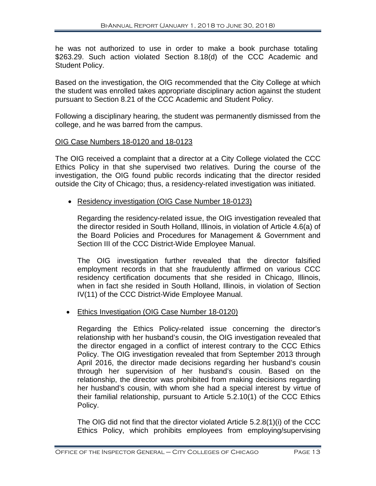he was not authorized to use in order to make a book purchase totaling \$263.29. Such action violated Section 8.18(d) of the CCC Academic and Student Policy.

Based on the investigation, the OIG recommended that the City College at which the student was enrolled takes appropriate disciplinary action against the student pursuant to Section 8.21 of the CCC Academic and Student Policy.

Following a disciplinary hearing, the student was permanently dismissed from the college, and he was barred from the campus.

# OIG Case Numbers 18-0120 and 18-0123

The OIG received a complaint that a director at a City College violated the CCC Ethics Policy in that she supervised two relatives. During the course of the investigation, the OIG found public records indicating that the director resided outside the City of Chicago; thus, a residency-related investigation was initiated.

• Residency investigation (OIG Case Number 18-0123)

Regarding the residency-related issue, the OIG investigation revealed that the director resided in South Holland, Illinois, in violation of Article 4.6(a) of the Board Policies and Procedures for Management & Government and Section III of the CCC District-Wide Employee Manual.

The OIG investigation further revealed that the director falsified employment records in that she fraudulently affirmed on various CCC residency certification documents that she resided in Chicago, Illinois, when in fact she resided in South Holland, Illinois, in violation of Section IV(11) of the CCC District-Wide Employee Manual.

# • Ethics Investigation (OIG Case Number 18-0120)

Regarding the Ethics Policy-related issue concerning the director's relationship with her husband's cousin, the OIG investigation revealed that the director engaged in a conflict of interest contrary to the CCC Ethics Policy. The OIG investigation revealed that from September 2013 through April 2016, the director made decisions regarding her husband's cousin through her supervision of her husband's cousin. Based on the relationship, the director was prohibited from making decisions regarding her husband's cousin, with whom she had a special interest by virtue of their familial relationship, pursuant to Article 5.2.10(1) of the CCC Ethics Policy.

The OIG did not find that the director violated Article 5.2.8(1)(i) of the CCC Ethics Policy, which prohibits employees from employing/supervising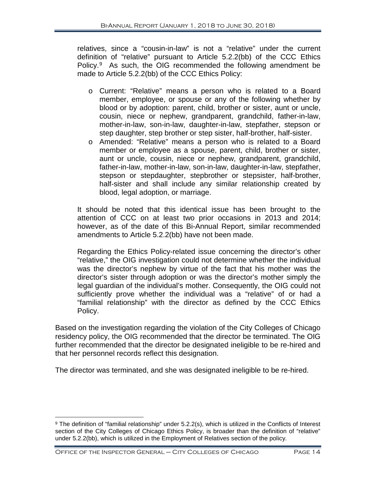relatives, since a "cousin-in-law" is not a "relative" under the current definition of "relative" pursuant to Article 5.2.2(bb) of the CCC Ethics Policy.[9](#page-15-0) As such, the OIG recommended the following amendment be made to Article 5.2.2(bb) of the CCC Ethics Policy:

- o Current: "Relative" means a person who is related to a Board member, employee, or spouse or any of the following whether by blood or by adoption: parent, child, brother or sister, aunt or uncle, cousin, niece or nephew, grandparent, grandchild, father-in-law, mother-in-law, son-in-law, daughter-in-law, stepfather, stepson or step daughter, step brother or step sister, half-brother, half-sister.
- o Amended: "Relative" means a person who is related to a Board member or employee as a spouse, parent, child, brother or sister, aunt or uncle, cousin, niece or nephew, grandparent, grandchild, father-in-law, mother-in-law, son-in-law, daughter-in-law, stepfather, stepson or stepdaughter, stepbrother or stepsister, half-brother, half-sister and shall include any similar relationship created by blood, legal adoption, or marriage.

It should be noted that this identical issue has been brought to the attention of CCC on at least two prior occasions in 2013 and 2014; however, as of the date of this Bi-Annual Report, similar recommended amendments to Article 5.2.2(bb) have not been made.

Regarding the Ethics Policy-related issue concerning the director's other "relative," the OIG investigation could not determine whether the individual was the director's nephew by virtue of the fact that his mother was the director's sister through adoption or was the director's mother simply the legal guardian of the individual's mother. Consequently, the OIG could not sufficiently prove whether the individual was a "relative" of or had a "familial relationship" with the director as defined by the CCC Ethics Policy.

Based on the investigation regarding the violation of the City Colleges of Chicago residency policy, the OIG recommended that the director be terminated. The OIG further recommended that the director be designated ineligible to be re-hired and that her personnel records reflect this designation.

The director was terminated, and she was designated ineligible to be re-hired.

<span id="page-15-0"></span> $\overline{a}$ <sup>9</sup> The definition of "familial relationship" under 5.2.2(s), which is utilized in the Conflicts of Interest section of the City Colleges of Chicago Ethics Policy, is broader than the definition of "relative" under 5.2.2(bb), which is utilized in the Employment of Relatives section of the policy.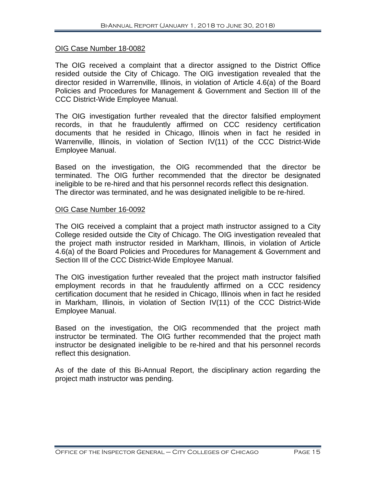#### OIG Case Number 18-0082

The OIG received a complaint that a director assigned to the District Office resided outside the City of Chicago. The OIG investigation revealed that the director resided in Warrenville, Illinois, in violation of Article 4.6(a) of the Board Policies and Procedures for Management & Government and Section III of the CCC District-Wide Employee Manual.

The OIG investigation further revealed that the director falsified employment records, in that he fraudulently affirmed on CCC residency certification documents that he resided in Chicago, Illinois when in fact he resided in Warrenville, Illinois, in violation of Section IV(11) of the CCC District-Wide Employee Manual.

Based on the investigation, the OIG recommended that the director be terminated. The OIG further recommended that the director be designated ineligible to be re-hired and that his personnel records reflect this designation. The director was terminated, and he was designated ineligible to be re-hired.

#### OIG Case Number 16-0092

The OIG received a complaint that a project math instructor assigned to a City College resided outside the City of Chicago. The OIG investigation revealed that the project math instructor resided in Markham, Illinois, in violation of Article 4.6(a) of the Board Policies and Procedures for Management & Government and Section III of the CCC District-Wide Employee Manual.

The OIG investigation further revealed that the project math instructor falsified employment records in that he fraudulently affirmed on a CCC residency certification document that he resided in Chicago, Illinois when in fact he resided in Markham, Illinois, in violation of Section IV(11) of the CCC District-Wide Employee Manual.

Based on the investigation, the OIG recommended that the project math instructor be terminated. The OIG further recommended that the project math instructor be designated ineligible to be re-hired and that his personnel records reflect this designation.

As of the date of this Bi-Annual Report, the disciplinary action regarding the project math instructor was pending.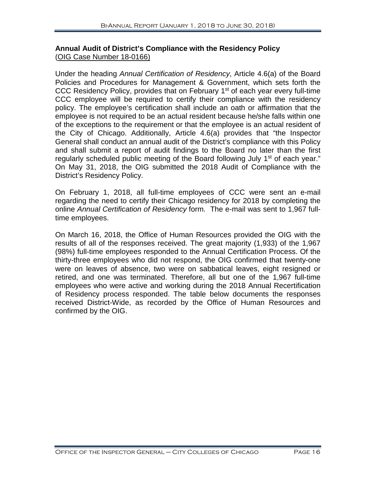# **Annual Audit of District's Compliance with the Residency Policy**  (OIG Case Number 18-0166)

Under the heading *Annual Certification of Residency*, Article 4.6(a) of the Board Policies and Procedures for Management & Government, which sets forth the CCC Residency Policy, provides that on February 1<sup>st</sup> of each year every full-time CCC employee will be required to certify their compliance with the residency policy. The employee's certification shall include an oath or affirmation that the employee is not required to be an actual resident because he/she falls within one of the exceptions to the requirement or that the employee is an actual resident of the City of Chicago. Additionally, Article 4.6(a) provides that "the Inspector General shall conduct an annual audit of the District's compliance with this Policy and shall submit a report of audit findings to the Board no later than the first regularly scheduled public meeting of the Board following July 1<sup>st</sup> of each year." On May 31, 2018, the OIG submitted the 2018 Audit of Compliance with the District's Residency Policy.

On February 1, 2018, all full-time employees of CCC were sent an e-mail regarding the need to certify their Chicago residency for 2018 by completing the online *Annual Certification of Residency* form. The e-mail was sent to 1,967 fulltime employees.

On March 16, 2018, the Office of Human Resources provided the OIG with the results of all of the responses received. The great majority (1,933) of the 1,967 (98%) full-time employees responded to the Annual Certification Process. Of the thirty-three employees who did not respond, the OIG confirmed that twenty-one were on leaves of absence, two were on sabbatical leaves, eight resigned or retired, and one was terminated. Therefore, all but one of the 1,967 full-time employees who were active and working during the 2018 Annual Recertification of Residency process responded. The table below documents the responses received District-Wide, as recorded by the Office of Human Resources and confirmed by the OIG.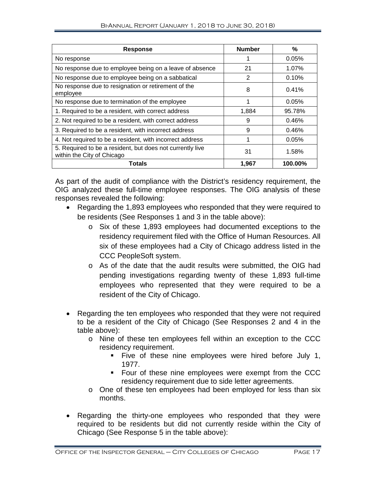| <b>Response</b>                                                                         | <b>Number</b>  | %       |
|-----------------------------------------------------------------------------------------|----------------|---------|
| No response                                                                             |                | 0.05%   |
| No response due to employee being on a leave of absence                                 | 21             | 1.07%   |
| No response due to employee being on a sabbatical                                       | $\overline{2}$ | 0.10%   |
| No response due to resignation or retirement of the<br>employee                         | 8              | 0.41%   |
| No response due to termination of the employee                                          | 1              | 0.05%   |
| 1. Required to be a resident, with correct address                                      | 1,884          | 95.78%  |
| 2. Not required to be a resident, with correct address                                  | 9              | 0.46%   |
| 3. Required to be a resident, with incorrect address                                    | 9              | 0.46%   |
| 4. Not required to be a resident, with incorrect address                                | 1              | 0.05%   |
| 5. Required to be a resident, but does not currently live<br>within the City of Chicago | 31             | 1.58%   |
| Totals                                                                                  | 1.967          | 100.00% |

As part of the audit of compliance with the District's residency requirement, the OIG analyzed these full-time employee responses. The OIG analysis of these responses revealed the following:

- Regarding the 1,893 employees who responded that they were required to be residents (See Responses 1 and 3 in the table above):
	- o Six of these 1,893 employees had documented exceptions to the residency requirement filed with the Office of Human Resources. All six of these employees had a City of Chicago address listed in the CCC PeopleSoft system.
	- o As of the date that the audit results were submitted, the OIG had pending investigations regarding twenty of these 1,893 full-time employees who represented that they were required to be a resident of the City of Chicago.
- Regarding the ten employees who responded that they were not required to be a resident of the City of Chicago (See Responses 2 and 4 in the table above):
	- o Nine of these ten employees fell within an exception to the CCC residency requirement.
		- Five of these nine employees were hired before July 1, 1977.
		- **Four of these nine employees were exempt from the CCC** residency requirement due to side letter agreements.
	- o One of these ten employees had been employed for less than six months.
- Regarding the thirty-one employees who responded that they were required to be residents but did not currently reside within the City of Chicago (See Response 5 in the table above):